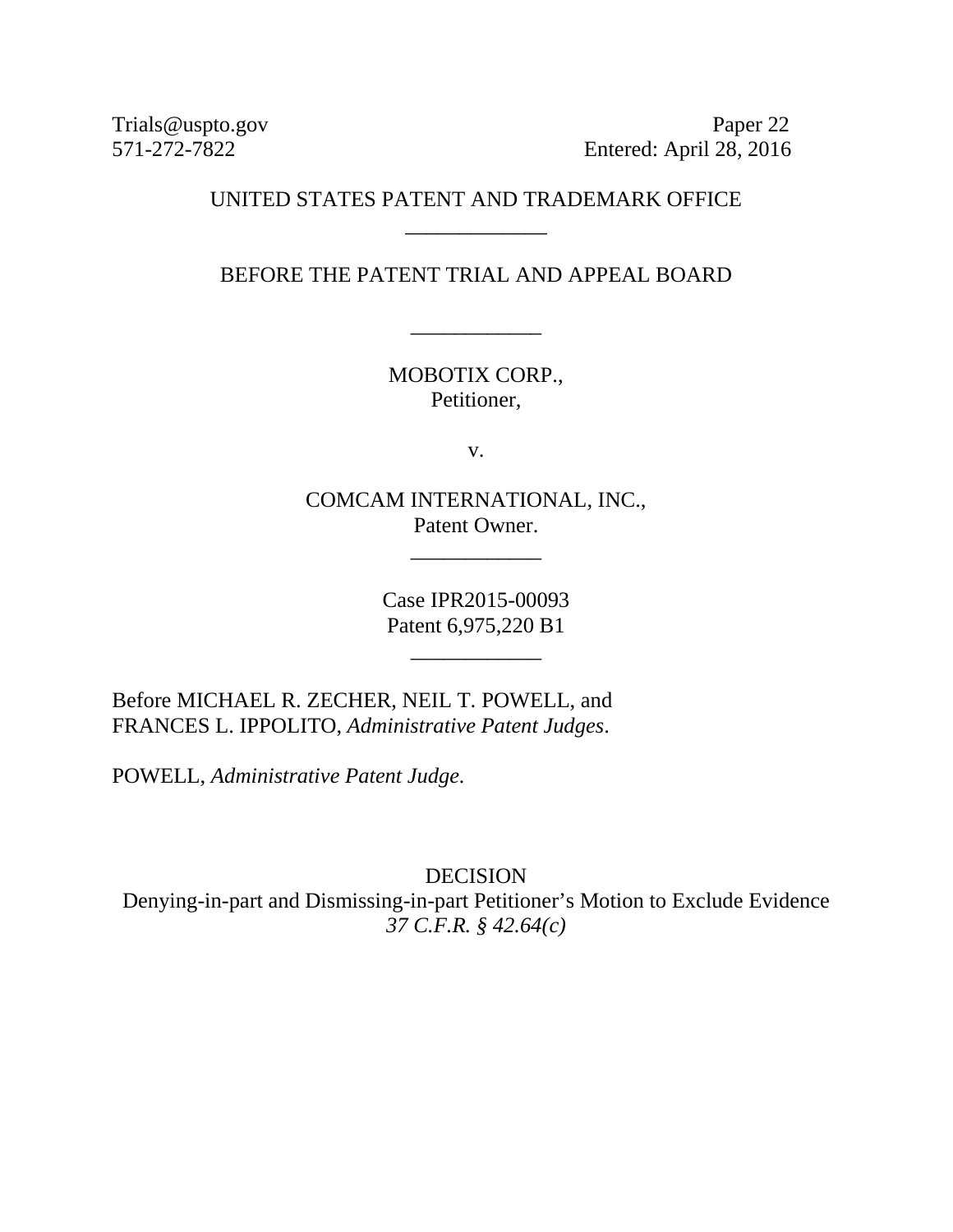Trials@uspto.gov Paper 22<br>571-272-7822 Entered: April 28, 2016 Entered: April 28, 2016

## UNITED STATES PATENT AND TRADEMARK OFFICE \_\_\_\_\_\_\_\_\_\_\_\_\_

BEFORE THE PATENT TRIAL AND APPEAL BOARD

\_\_\_\_\_\_\_\_\_\_\_\_

MOBOTIX CORP., Petitioner,

v.

COMCAM INTERNATIONAL, INC., Patent Owner.

\_\_\_\_\_\_\_\_\_\_\_\_

Case IPR2015-00093 Patent 6,975,220 B1

\_\_\_\_\_\_\_\_\_\_\_\_

Before MICHAEL R. ZECHER, NEIL T. POWELL, and FRANCES L. IPPOLITO, *Administrative Patent Judges*.

POWELL, *Administrative Patent Judge.*

DECISION Denying-in-part and Dismissing-in-part Petitioner's Motion to Exclude Evidence *37 C.F.R. § 42.64(c)*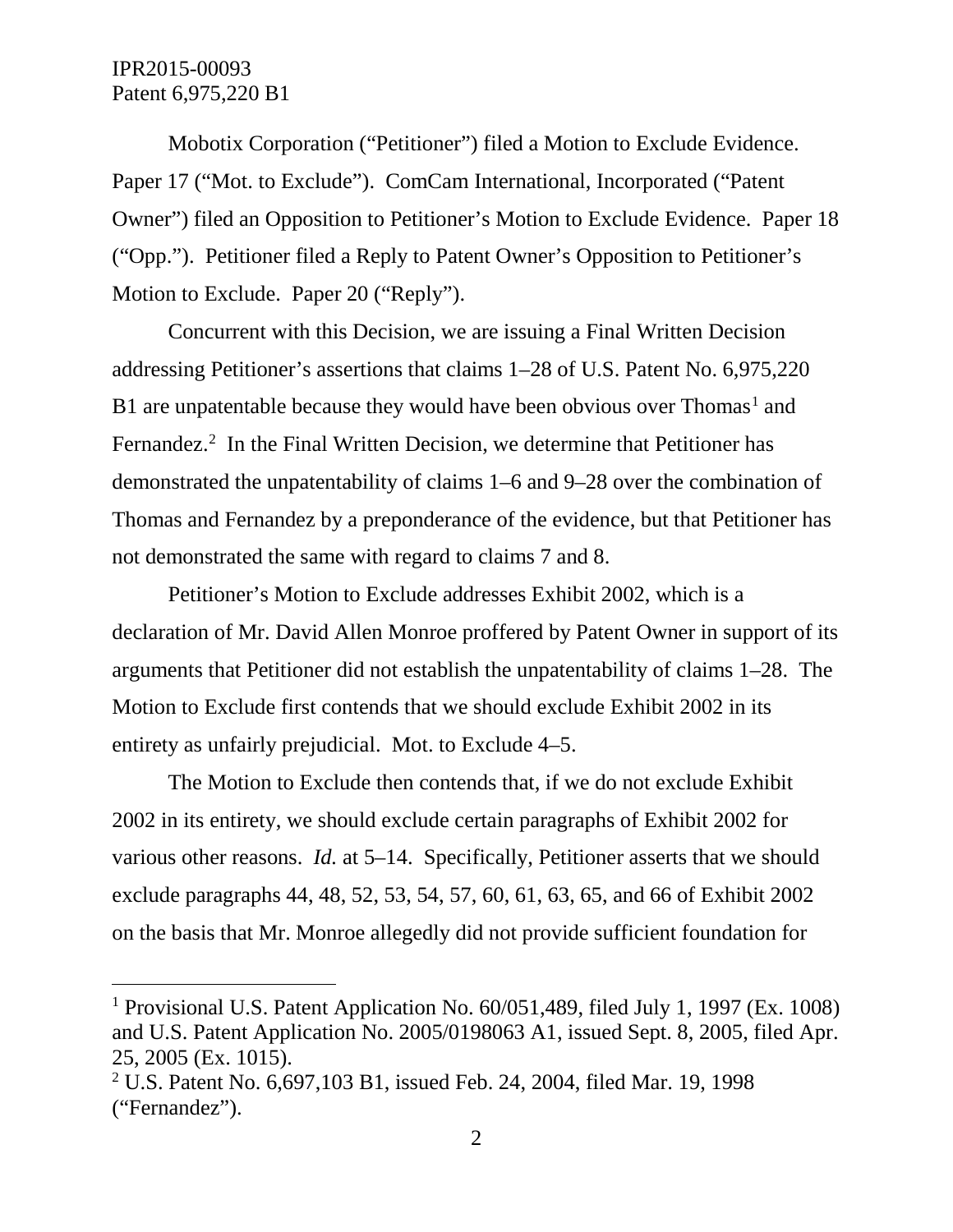Mobotix Corporation ("Petitioner") filed a Motion to Exclude Evidence. Paper 17 ("Mot. to Exclude"). ComCam International, Incorporated ("Patent Owner") filed an Opposition to Petitioner's Motion to Exclude Evidence. Paper 18 ("Opp."). Petitioner filed a Reply to Patent Owner's Opposition to Petitioner's Motion to Exclude. Paper 20 ("Reply").

Concurrent with this Decision, we are issuing a Final Written Decision addressing Petitioner's assertions that claims 1–28 of U.S. Patent No. 6,975,220 B[1](#page-1-0) are unpatentable because they would have been obvious over Thomas<sup>1</sup> and Fernandez.<sup>[2](#page-1-1)</sup> In the Final Written Decision, we determine that Petitioner has demonstrated the unpatentability of claims 1–6 and 9–28 over the combination of Thomas and Fernandez by a preponderance of the evidence, but that Petitioner has not demonstrated the same with regard to claims 7 and 8.

Petitioner's Motion to Exclude addresses Exhibit 2002, which is a declaration of Mr. David Allen Monroe proffered by Patent Owner in support of its arguments that Petitioner did not establish the unpatentability of claims 1–28. The Motion to Exclude first contends that we should exclude Exhibit 2002 in its entirety as unfairly prejudicial. Mot. to Exclude 4–5.

The Motion to Exclude then contends that, if we do not exclude Exhibit 2002 in its entirety, we should exclude certain paragraphs of Exhibit 2002 for various other reasons. *Id.* at 5–14. Specifically, Petitioner asserts that we should exclude paragraphs 44, 48, 52, 53, 54, 57, 60, 61, 63, 65, and 66 of Exhibit 2002 on the basis that Mr. Monroe allegedly did not provide sufficient foundation for

<span id="page-1-0"></span> <sup>1</sup> Provisional U.S. Patent Application No. 60/051,489, filed July 1, 1997 (Ex. 1008) and U.S. Patent Application No. 2005/0198063 A1, issued Sept. 8, 2005, filed Apr. 25, 2005 (Ex. 1015).

<span id="page-1-1"></span><sup>2</sup> U.S. Patent No. 6,697,103 B1, issued Feb. 24, 2004, filed Mar. 19, 1998 ("Fernandez").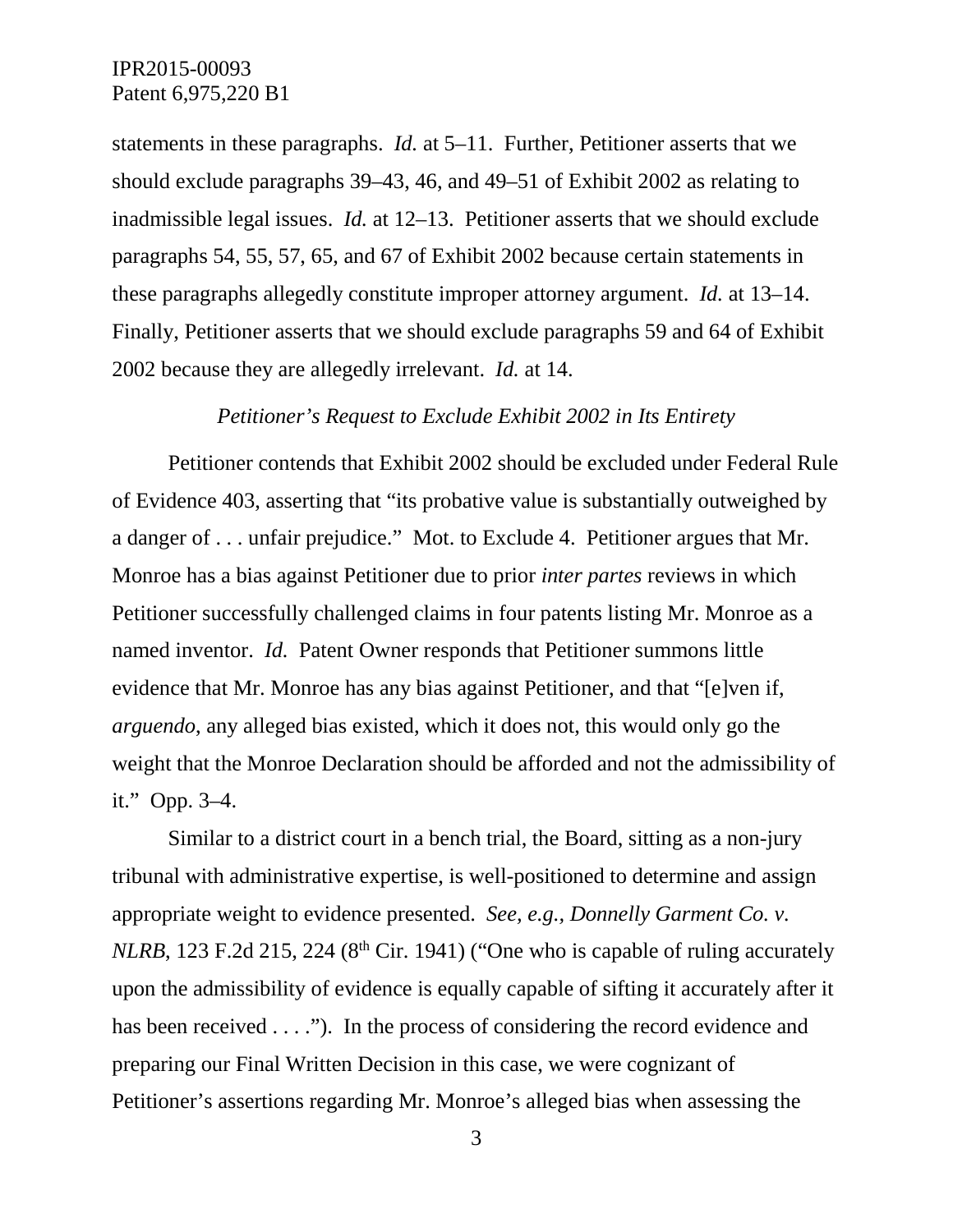statements in these paragraphs. *Id.* at 5–11. Further, Petitioner asserts that we should exclude paragraphs 39–43, 46, and 49–51 of Exhibit 2002 as relating to inadmissible legal issues. *Id.* at 12–13. Petitioner asserts that we should exclude paragraphs 54, 55, 57, 65, and 67 of Exhibit 2002 because certain statements in these paragraphs allegedly constitute improper attorney argument. *Id.* at 13–14. Finally, Petitioner asserts that we should exclude paragraphs 59 and 64 of Exhibit 2002 because they are allegedly irrelevant. *Id.* at 14.

#### *Petitioner's Request to Exclude Exhibit 2002 in Its Entirety*

Petitioner contends that Exhibit 2002 should be excluded under Federal Rule of Evidence 403, asserting that "its probative value is substantially outweighed by a danger of . . . unfair prejudice." Mot. to Exclude 4. Petitioner argues that Mr. Monroe has a bias against Petitioner due to prior *inter partes* reviews in which Petitioner successfully challenged claims in four patents listing Mr. Monroe as a named inventor. *Id.* Patent Owner responds that Petitioner summons little evidence that Mr. Monroe has any bias against Petitioner, and that "[e]ven if, *arguendo*, any alleged bias existed, which it does not, this would only go the weight that the Monroe Declaration should be afforded and not the admissibility of it." Opp. 3–4.

Similar to a district court in a bench trial, the Board, sitting as a non-jury tribunal with administrative expertise, is well-positioned to determine and assign appropriate weight to evidence presented. *See, e.g., Donnelly Garment Co. v. NLRB*, 123 F.2d 215, 224 ( $8<sup>th</sup>$  Cir. 1941) ("One who is capable of ruling accurately upon the admissibility of evidence is equally capable of sifting it accurately after it has been received . . . ."). In the process of considering the record evidence and preparing our Final Written Decision in this case, we were cognizant of Petitioner's assertions regarding Mr. Monroe's alleged bias when assessing the

<sup>3</sup>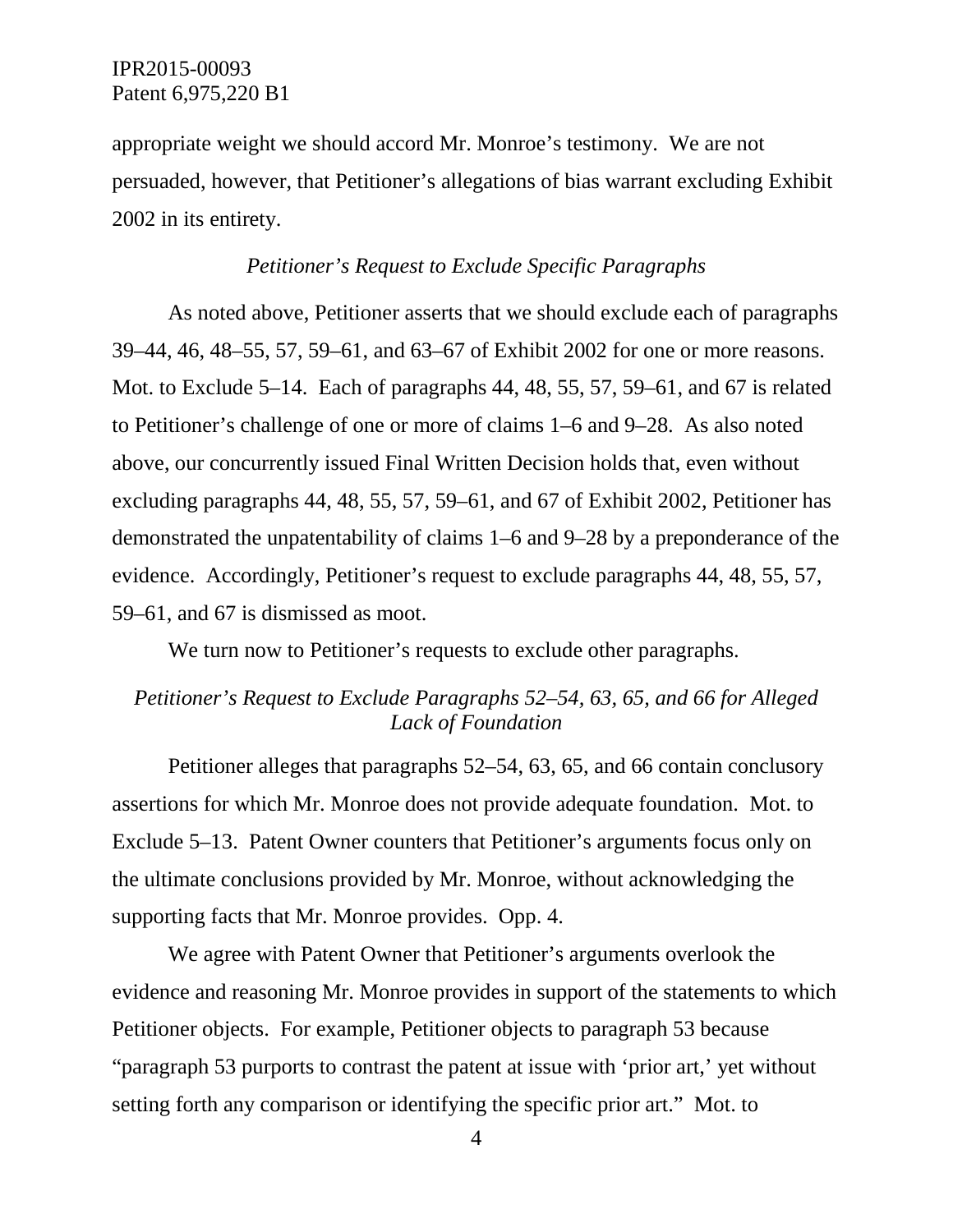appropriate weight we should accord Mr. Monroe's testimony. We are not persuaded, however, that Petitioner's allegations of bias warrant excluding Exhibit 2002 in its entirety.

#### *Petitioner's Request to Exclude Specific Paragraphs*

As noted above, Petitioner asserts that we should exclude each of paragraphs 39–44, 46, 48–55, 57, 59–61, and 63–67 of Exhibit 2002 for one or more reasons. Mot. to Exclude 5–14. Each of paragraphs 44, 48, 55, 57, 59–61, and 67 is related to Petitioner's challenge of one or more of claims 1–6 and 9–28. As also noted above, our concurrently issued Final Written Decision holds that, even without excluding paragraphs 44, 48, 55, 57, 59–61, and 67 of Exhibit 2002, Petitioner has demonstrated the unpatentability of claims 1–6 and 9–28 by a preponderance of the evidence. Accordingly, Petitioner's request to exclude paragraphs 44, 48, 55, 57, 59–61, and 67 is dismissed as moot.

We turn now to Petitioner's requests to exclude other paragraphs.

# *Petitioner's Request to Exclude Paragraphs 52–54, 63, 65, and 66 for Alleged Lack of Foundation*

Petitioner alleges that paragraphs 52–54, 63, 65, and 66 contain conclusory assertions for which Mr. Monroe does not provide adequate foundation. Mot. to Exclude 5–13. Patent Owner counters that Petitioner's arguments focus only on the ultimate conclusions provided by Mr. Monroe, without acknowledging the supporting facts that Mr. Monroe provides. Opp. 4.

We agree with Patent Owner that Petitioner's arguments overlook the evidence and reasoning Mr. Monroe provides in support of the statements to which Petitioner objects. For example, Petitioner objects to paragraph 53 because "paragraph 53 purports to contrast the patent at issue with 'prior art,' yet without setting forth any comparison or identifying the specific prior art." Mot. to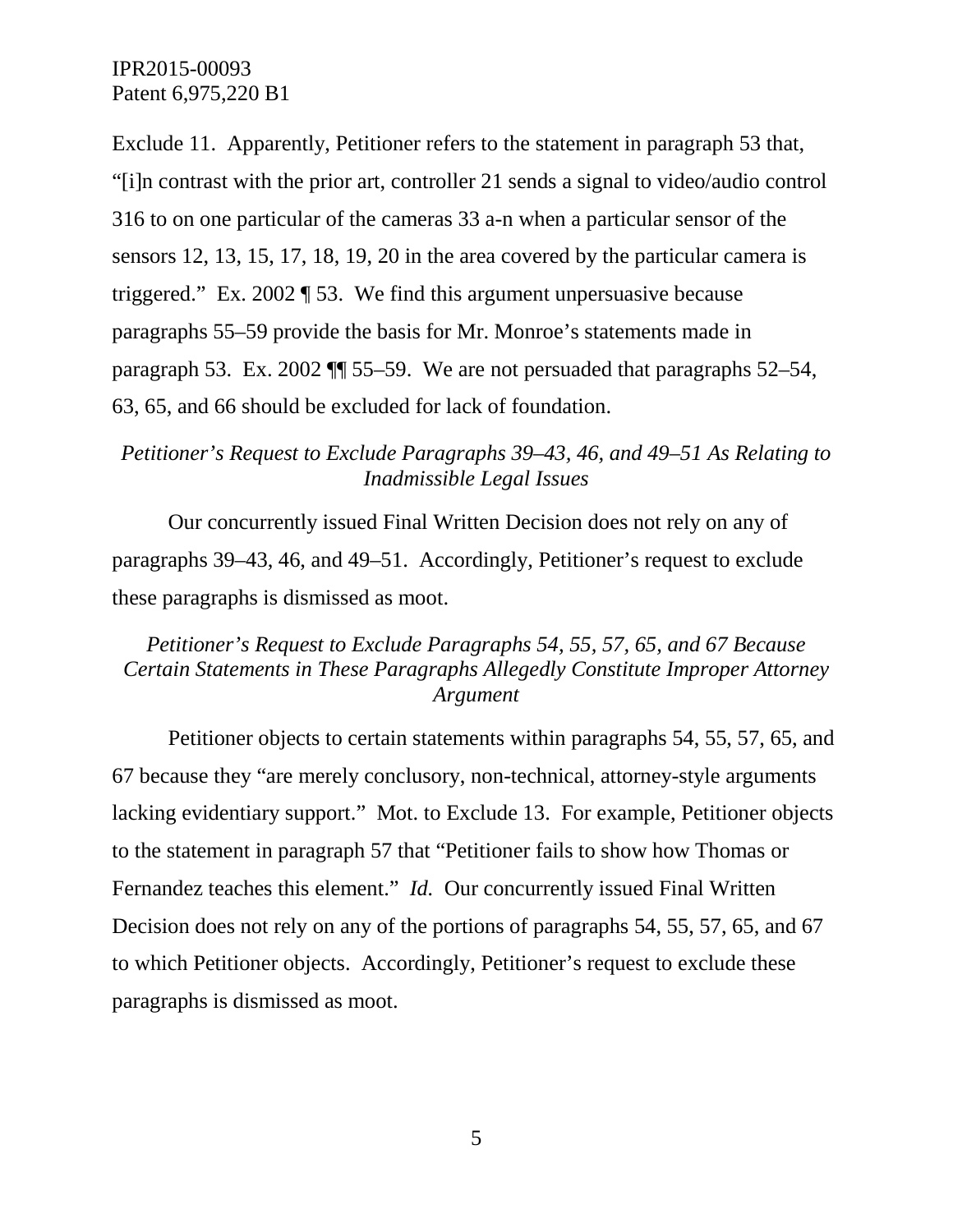Exclude 11. Apparently, Petitioner refers to the statement in paragraph 53 that, "[i]n contrast with the prior art, controller 21 sends a signal to video/audio control 316 to on one particular of the cameras 33 a-n when a particular sensor of the sensors 12, 13, 15, 17, 18, 19, 20 in the area covered by the particular camera is triggered." Ex. 2002 ¶ 53. We find this argument unpersuasive because paragraphs 55–59 provide the basis for Mr. Monroe's statements made in paragraph 53. Ex. 2002 ¶¶ 55–59. We are not persuaded that paragraphs 52–54, 63, 65, and 66 should be excluded for lack of foundation.

### *Petitioner's Request to Exclude Paragraphs 39–43, 46, and 49–51 As Relating to Inadmissible Legal Issues*

Our concurrently issued Final Written Decision does not rely on any of paragraphs 39–43, 46, and 49–51. Accordingly, Petitioner's request to exclude these paragraphs is dismissed as moot.

# *Petitioner's Request to Exclude Paragraphs 54, 55, 57, 65, and 67 Because Certain Statements in These Paragraphs Allegedly Constitute Improper Attorney Argument*

Petitioner objects to certain statements within paragraphs 54, 55, 57, 65, and 67 because they "are merely conclusory, non-technical, attorney-style arguments lacking evidentiary support." Mot. to Exclude 13. For example, Petitioner objects to the statement in paragraph 57 that "Petitioner fails to show how Thomas or Fernandez teaches this element." *Id.* Our concurrently issued Final Written Decision does not rely on any of the portions of paragraphs 54, 55, 57, 65, and 67 to which Petitioner objects. Accordingly, Petitioner's request to exclude these paragraphs is dismissed as moot.

5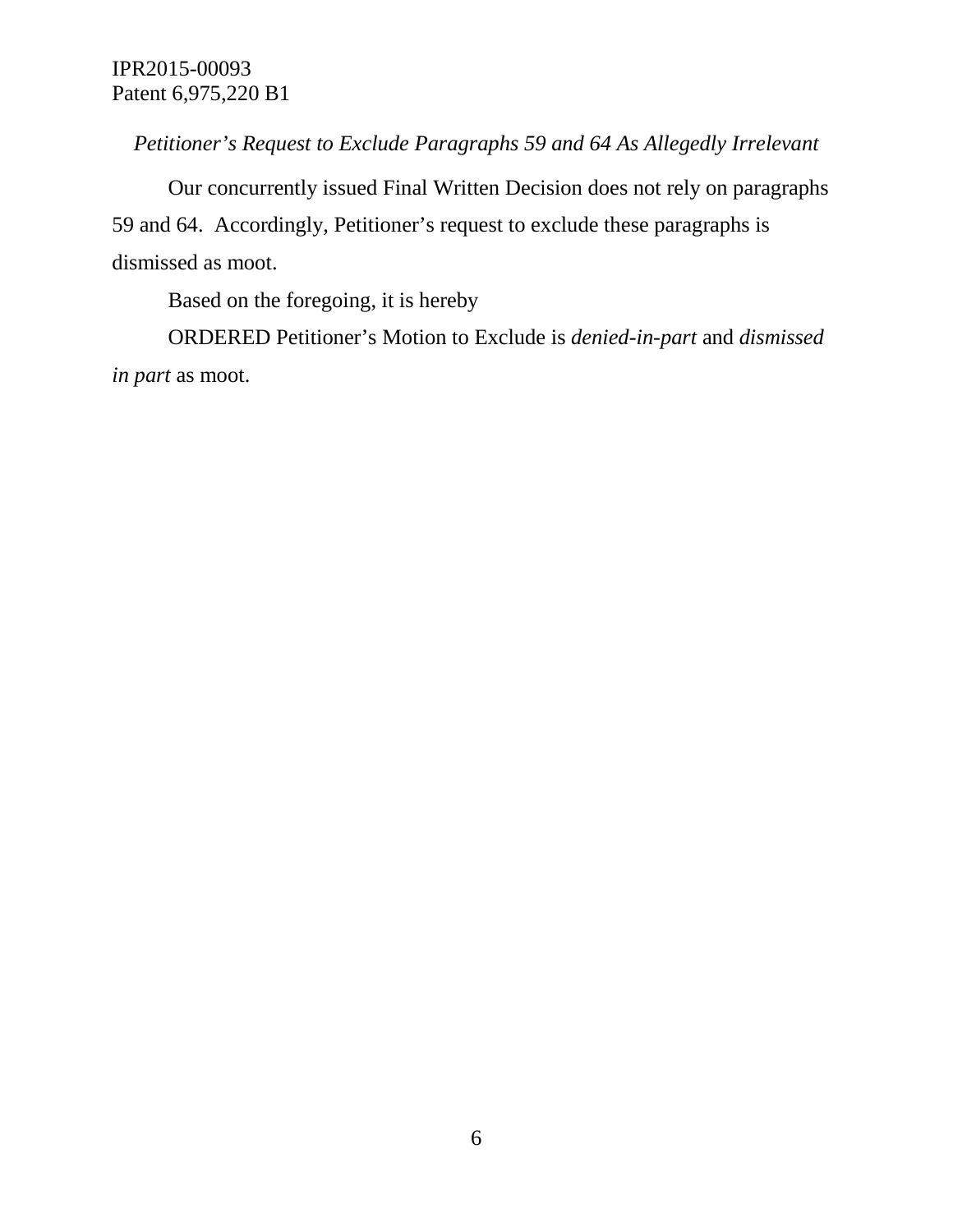*Petitioner's Request to Exclude Paragraphs 59 and 64 As Allegedly Irrelevant*

Our concurrently issued Final Written Decision does not rely on paragraphs 59 and 64. Accordingly, Petitioner's request to exclude these paragraphs is dismissed as moot.

Based on the foregoing, it is hereby

ORDERED Petitioner's Motion to Exclude is *denied-in-part* and *dismissed in part* as moot.